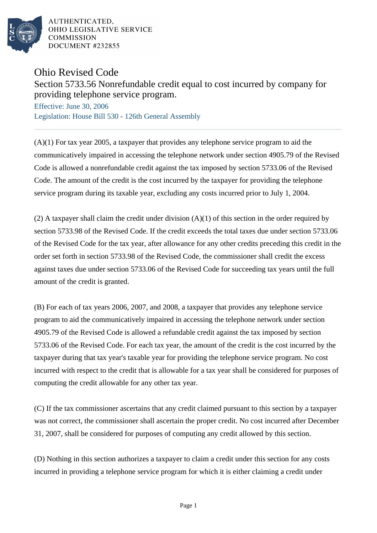

AUTHENTICATED. OHIO LEGISLATIVE SERVICE **COMMISSION** DOCUMENT #232855

## Ohio Revised Code

Section 5733.56 Nonrefundable credit equal to cost incurred by company for providing telephone service program.

Effective: June 30, 2006 Legislation: House Bill 530 - 126th General Assembly

(A)(1) For tax year 2005, a taxpayer that provides any telephone service program to aid the communicatively impaired in accessing the telephone network under section 4905.79 of the Revised Code is allowed a nonrefundable credit against the tax imposed by section 5733.06 of the Revised Code. The amount of the credit is the cost incurred by the taxpayer for providing the telephone service program during its taxable year, excluding any costs incurred prior to July 1, 2004.

(2) A taxpayer shall claim the credit under division (A)(1) of this section in the order required by section 5733.98 of the Revised Code. If the credit exceeds the total taxes due under section 5733.06 of the Revised Code for the tax year, after allowance for any other credits preceding this credit in the order set forth in section 5733.98 of the Revised Code, the commissioner shall credit the excess against taxes due under section 5733.06 of the Revised Code for succeeding tax years until the full amount of the credit is granted.

(B) For each of tax years 2006, 2007, and 2008, a taxpayer that provides any telephone service program to aid the communicatively impaired in accessing the telephone network under section 4905.79 of the Revised Code is allowed a refundable credit against the tax imposed by section 5733.06 of the Revised Code. For each tax year, the amount of the credit is the cost incurred by the taxpayer during that tax year's taxable year for providing the telephone service program. No cost incurred with respect to the credit that is allowable for a tax year shall be considered for purposes of computing the credit allowable for any other tax year.

(C) If the tax commissioner ascertains that any credit claimed pursuant to this section by a taxpayer was not correct, the commissioner shall ascertain the proper credit. No cost incurred after December 31, 2007, shall be considered for purposes of computing any credit allowed by this section.

(D) Nothing in this section authorizes a taxpayer to claim a credit under this section for any costs incurred in providing a telephone service program for which it is either claiming a credit under